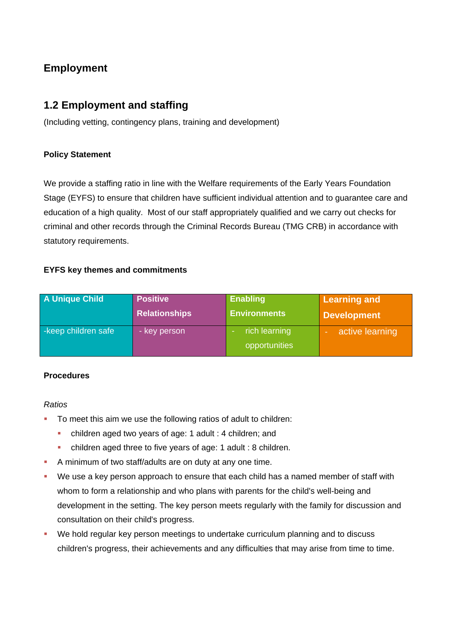# **Employment**

## **1.2 Employment and staffing**

(Including vetting, contingency plans, training and development)

#### **Policy Statement**

We provide a staffing ratio in line with the Welfare requirements of the Early Years Foundation Stage (EYFS) to ensure that children have sufficient individual attention and to guarantee care and education of a high quality. Most of our staff appropriately qualified and we carry out checks for criminal and other records through the Criminal Records Bureau (TMG CRB) in accordance with statutory requirements.

#### **EYFS key themes and commitments**

| <b>A Unique Child</b> | <b>Positive</b>      | <b>Enabling</b>                                            | <b>Learning and</b> |
|-----------------------|----------------------|------------------------------------------------------------|---------------------|
|                       | <b>Relationships</b> | <b>Environments</b>                                        | <b>Development</b>  |
| -keep children safe   | - key person         | rich learning<br>$\overline{\phantom{a}}$<br>opportunities | active learning     |

#### **Procedures**

#### *Ratios*

- To meet this aim we use the following ratios of adult to children:
	- children aged two years of age: 1 adult : 4 children; and
	- children aged three to five years of age: 1 adult : 8 children.
- A minimum of two staff/adults are on duty at any one time.
- We use a key person approach to ensure that each child has a named member of staff with whom to form a relationship and who plans with parents for the child's well-being and development in the setting. The key person meets regularly with the family for discussion and consultation on their child's progress.
- We hold regular key person meetings to undertake curriculum planning and to discuss children's progress, their achievements and any difficulties that may arise from time to time.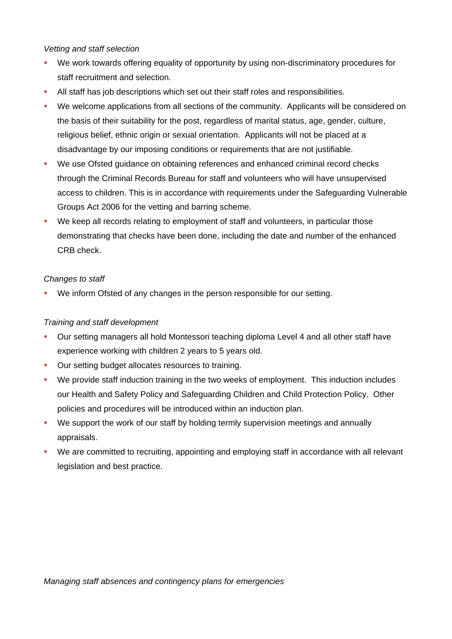#### *Vetting and staff selection*

- We work towards offering equality of opportunity by using non-discriminatory procedures for staff recruitment and selection.
- All staff has job descriptions which set out their staff roles and responsibilities.
- We welcome applications from all sections of the community. Applicants will be considered on the basis of their suitability for the post, regardless of marital status, age, gender, culture, religious belief, ethnic origin or sexual orientation. Applicants will not be placed at a disadvantage by our imposing conditions or requirements that are not justifiable.
- We use Ofsted guidance on obtaining references and enhanced criminal record checks through the Criminal Records Bureau for staff and volunteers who will have unsupervised access to children. This is in accordance with requirements under the Safeguarding Vulnerable Groups Act 2006 for the vetting and barring scheme.
- We keep all records relating to employment of staff and volunteers, in particular those demonstrating that checks have been done, including the date and number of the enhanced CRB check.

#### *Changes to staff*

We inform Ofsted of any changes in the person responsible for our setting.

#### *Training and staff development*

- Our setting managers all hold Montessori teaching diploma Level 4 and all other staff have experience working with children 2 years to 5 years old.
- **Our setting budget allocates resources to training.**
- We provide staff induction training in the two weeks of employment. This induction includes our Health and Safety Policy and Safeguarding Children and Child Protection Policy. Other policies and procedures will be introduced within an induction plan.
- We support the work of our staff by holding termly supervision meetings and annually appraisals.
- We are committed to recruiting, appointing and employing staff in accordance with all relevant legislation and best practice.

*Managing staff absences and contingency plans for emergencies*